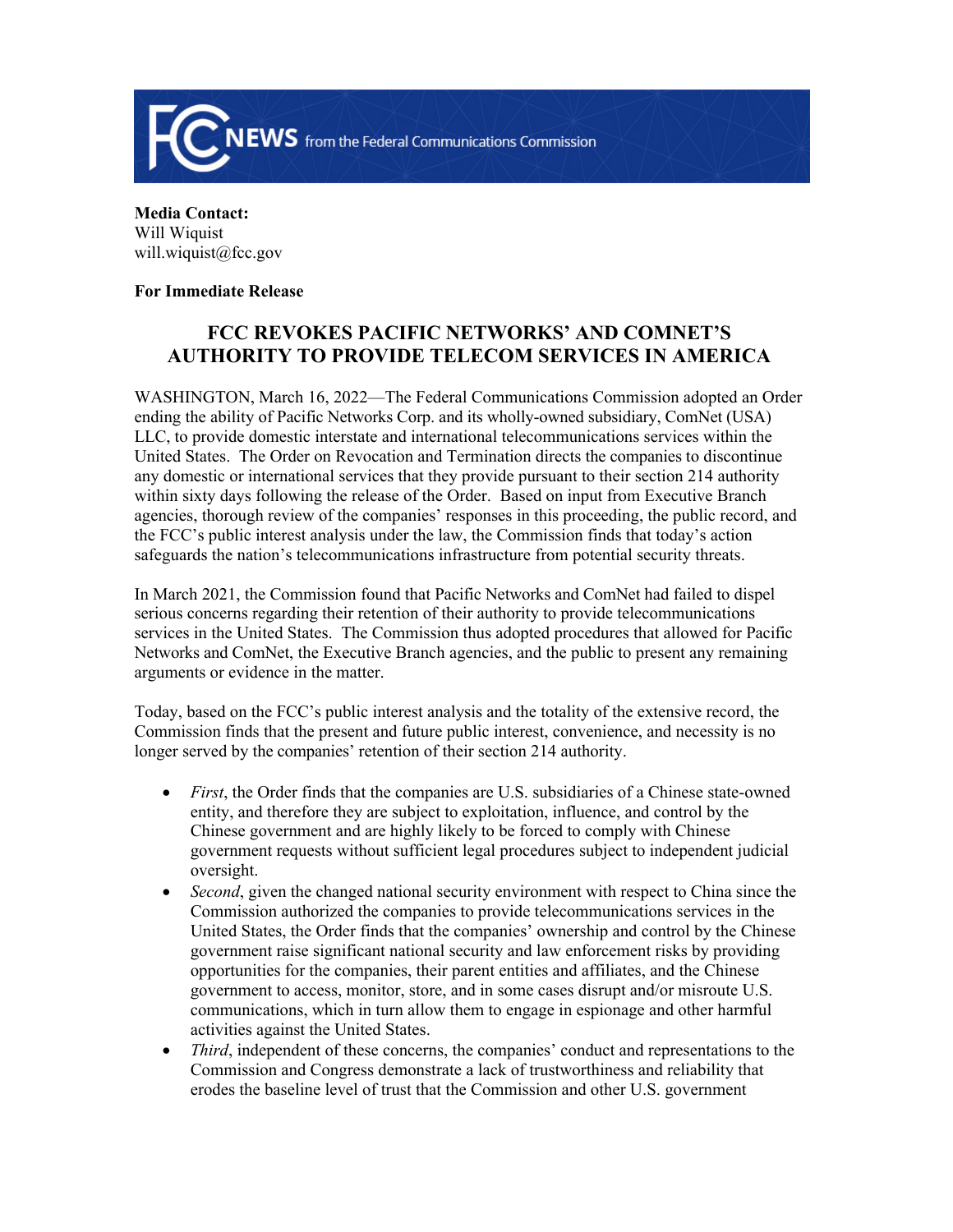

**Media Contact:**  Will Wiquist will.wiquist@fcc.gov

## **For Immediate Release**

## **FCC REVOKES PACIFIC NETWORKS' AND COMNET'S AUTHORITY TO PROVIDE TELECOM SERVICES IN AMERICA**

WASHINGTON, March 16, 2022—The Federal Communications Commission adopted an Order ending the ability of Pacific Networks Corp. and its wholly-owned subsidiary, ComNet (USA) LLC, to provide domestic interstate and international telecommunications services within the United States. The Order on Revocation and Termination directs the companies to discontinue any domestic or international services that they provide pursuant to their section 214 authority within sixty days following the release of the Order. Based on input from Executive Branch agencies, thorough review of the companies' responses in this proceeding, the public record, and the FCC's public interest analysis under the law, the Commission finds that today's action safeguards the nation's telecommunications infrastructure from potential security threats.

In March 2021, the Commission found that Pacific Networks and ComNet had failed to dispel serious concerns regarding their retention of their authority to provide telecommunications services in the United States. The Commission thus adopted procedures that allowed for Pacific Networks and ComNet, the Executive Branch agencies, and the public to present any remaining arguments or evidence in the matter.

Today, based on the FCC's public interest analysis and the totality of the extensive record, the Commission finds that the present and future public interest, convenience, and necessity is no longer served by the companies' retention of their section 214 authority.

- *First*, the Order finds that the companies are U.S. subsidiaries of a Chinese state-owned entity, and therefore they are subject to exploitation, influence, and control by the Chinese government and are highly likely to be forced to comply with Chinese government requests without sufficient legal procedures subject to independent judicial oversight.
- *Second*, given the changed national security environment with respect to China since the Commission authorized the companies to provide telecommunications services in the United States, the Order finds that the companies' ownership and control by the Chinese government raise significant national security and law enforcement risks by providing opportunities for the companies, their parent entities and affiliates, and the Chinese government to access, monitor, store, and in some cases disrupt and/or misroute U.S. communications, which in turn allow them to engage in espionage and other harmful activities against the United States.
- *Third*, independent of these concerns, the companies' conduct and representations to the Commission and Congress demonstrate a lack of trustworthiness and reliability that erodes the baseline level of trust that the Commission and other U.S. government